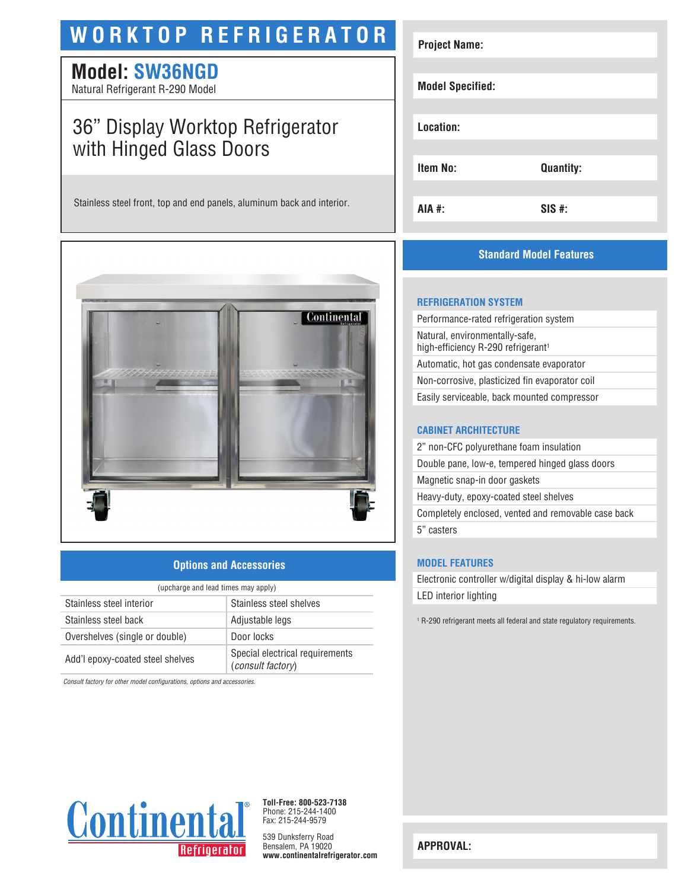# **WORKTOP REFRIGERATOR**

### **Model: SW36NGD**

Natural Refrigerant R-290 Model

## 36" Display Worktop Refrigerator with Hinged Glass Doors

Stainless steel front, top and end panels, aluminum back and interior.



#### **Options and Accessories**

| (upcharge and lead times may apply) |                                                      |  |
|-------------------------------------|------------------------------------------------------|--|
| Stainless steel interior            | Stainless steel shelves                              |  |
| Stainless steel back                | Adjustable legs                                      |  |
| Overshelves (single or double)      | Door locks                                           |  |
| Add'l epoxy-coated steel shelves    | Special electrical requirements<br>(consult factory) |  |

*Consult factory for other model configurations, options and accessories.*



### **Standard Model Features**

#### **REFRIGERATION SYSTEM**

Performance-rated refrigeration system Natural, environmentally-safe, high-efficiency R-290 refrigerant<sup>1</sup> Automatic, hot gas condensate evaporator Non-corrosive, plasticized fin evaporator coil Easily serviceable, back mounted compressor

#### **CABINET ARCHITECTURE**

2" non-CFC polyurethane foam insulation Double pane, low-e, tempered hinged glass doors Magnetic snap-in door gaskets Heavy-duty, epoxy-coated steel shelves Completely enclosed, vented and removable case back 5" casters

#### **MODEL FEATURES**

Electronic controller w/digital display & hi-low alarm LED interior lighting

<sup>1</sup> R-290 refrigerant meets all federal and state regulatory requirements.



**Toll-Free: 800-523-7138** Phone: 215-244-1400 Fax: 215-244-9579

539 Dunksferry Road Bensalem, PA 19020 **www.continentalrefrigerator.com** 

**APPROVAL:**